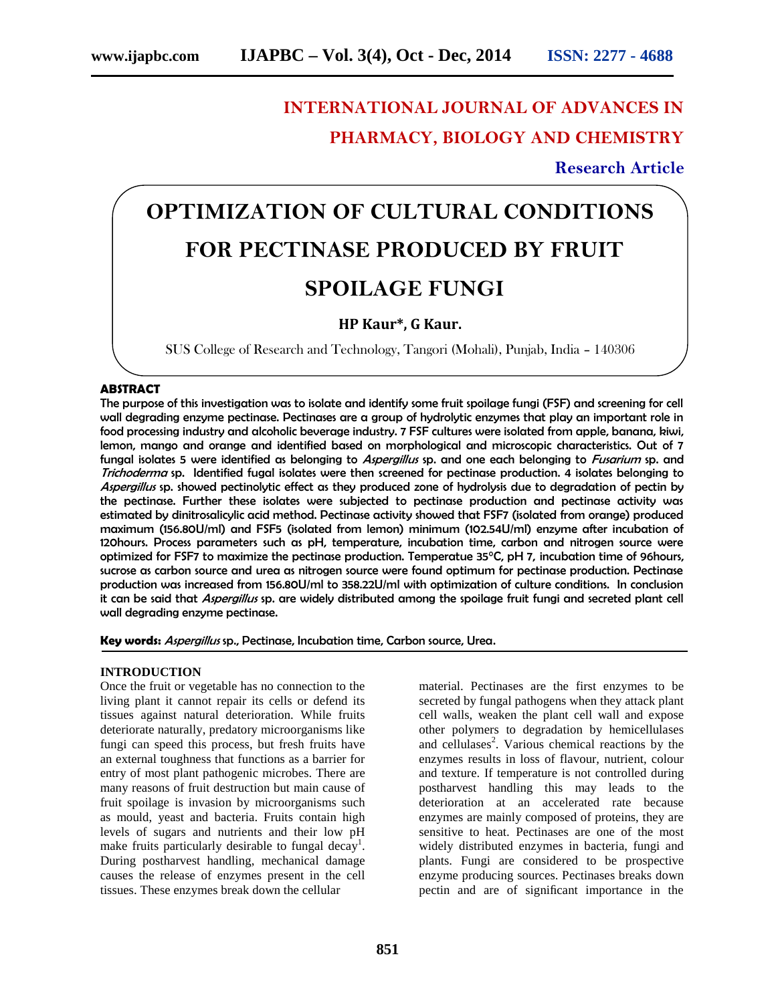# **INTERNATIONAL JOURNAL OF ADVANCES IN PHARMACY, BIOLOGY AND CHEMISTRY**

**Research Article**

# **OPTIMIZATION OF CULTURAL CONDITIONS FOR PECTINASE PRODUCED BY FRUIT SPOILAGE FUNGI**

# **HP Kaur\*, G Kaur.**

SUS College of Research and Technology, Tangori (Mohali), Punjab, India – 140306

## **ABSTRACT**

The purpose of this investigation was to isolate and identify some fruit spoilage fungi (FSF) and screening for cell wall degrading enzyme pectinase. Pectinases are a group of hydrolytic enzymes that play an important role in food processing industry and alcoholic beverage industry. 7 FSF cultures were isolated from apple, banana, kiwi, lemon, mango and orange and identified based on morphological and microscopic characteristics. Out of 7 fungal isolates 5 were identified as belonging to *Aspergillus* sp. and one each belonging to *Fusarium* sp. and *Trichoderma* sp. Identified fugal isolates were then screened for pectinase production. 4 isolates belonging to *Aspergillus* sp. showed pectinolytic effect as they produced zone of hydrolysis due to degradation of pectin by the pectinase. Further these isolates were subjected to pectinase production and pectinase activity was estimated by dinitrosalicylic acid method. Pectinase activity showed that FSF7 (isolated from orange) produced maximum (156.80U/ml) and FSF5 (isolated from lemon) minimum (102.54U/ml) enzyme after incubation of 120hours. Process parameters such as pH, temperature, incubation time, carbon and nitrogen source were optimized for FSF7 to maximize the pectinase production. Temperatue 35°C, pH 7, incubation time of 96hours, sucrose as carbon source and urea as nitrogen source were found optimum for pectinase production. Pectinase production was increased from 156.80U/ml to 358.22U/ml with optimization of culture conditions. In conclusion it can be said that *Aspergillus* sp. are widely distributed among the spoilage fruit fungi and secreted plant cell wall degrading enzyme pectinase.

**Key words:** *Aspergillus* sp., Pectinase, Incubation time, Carbon source, Urea.

#### **INTRODUCTION**

Once the fruit or vegetable has no connection to the living plant it cannot repair its cells or defend its tissues against natural deterioration. While fruits deteriorate naturally, predatory microorganisms like fungi can speed this process, but fresh fruits have an external toughness that functions as a barrier for entry of most plant pathogenic microbes. There are many reasons of fruit destruction but main cause of fruit spoilage is invasion by microorganisms such as mould, yeast and bacteria. Fruits contain high levels of sugars and nutrients and their low pH make fruits particularly desirable to fungal decay<sup>1</sup>. During postharvest handling, mechanical damage causes the release of enzymes present in the cell tissues. These enzymes break down the cellular

material. Pectinases are the first enzymes to be secreted by fungal pathogens when they attack plant cell walls, weaken the plant cell wall and expose other polymers to degradation by hemicellulases and cellulases<sup>2</sup>. Various chemical reactions by the enzymes results in loss of flavour, nutrient, colour and texture. If temperature is not controlled during postharvest handling this may leads to the deterioration at an accelerated rate because enzymes are mainly composed of proteins, they are sensitive to heat. Pectinases are one of the most widely distributed enzymes in bacteria, fungi and plants. Fungi are considered to be prospective enzyme producing sources. Pectinases breaks down pectin and are of significant importance in the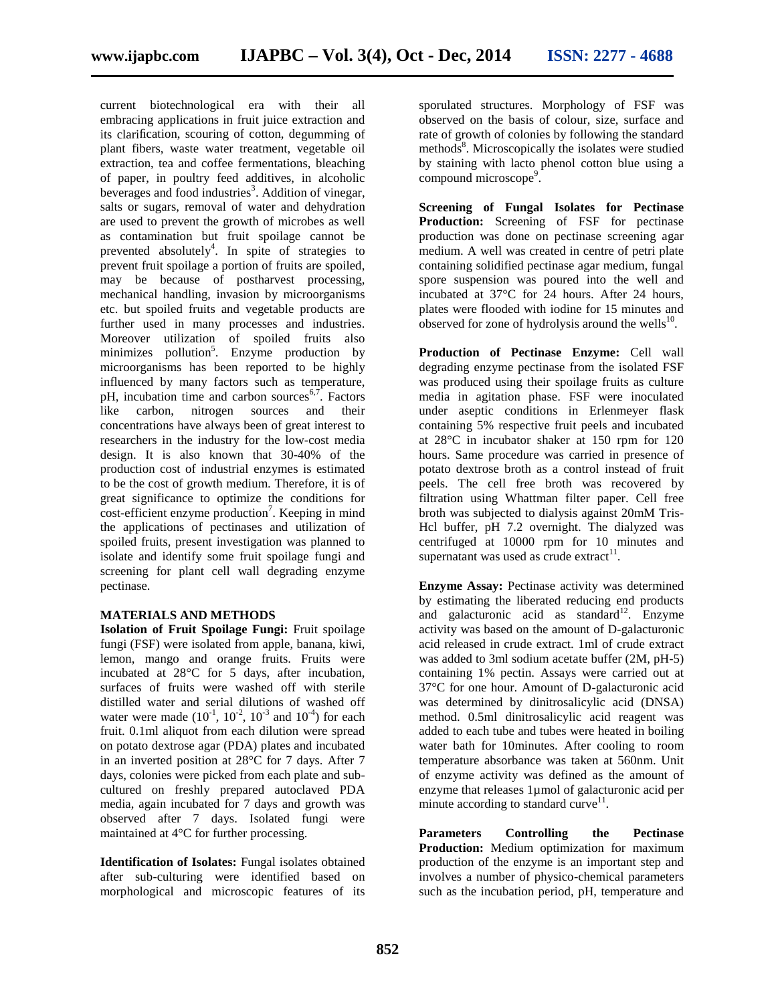current biotechnological era with their all embracing applications in fruit juice extraction and its clarification, scouring of cotton, degumming of plant fibers, waste water treatment, vegetable oil extraction, tea and coffee fermentations, bleaching of paper, in poultry feed additives, in alcoholic beverages and food industries<sup>3</sup>. Addition of vinegar, salts or sugars, removal of water and dehydration are used to prevent the growth of microbes as well as contamination but fruit spoilage cannot be prevented absolutely<sup>4</sup>. In spite of strategies to prevent fruit spoilage a portion of fruits are spoiled, may be because of postharvest processing, mechanical handling, invasion by microorganisms etc. but spoiled fruits and vegetable products are further used in many processes and industries. Moreover utilization of spoiled fruits also minimizes pollution<sup>5</sup>. Enzyme production by microorganisms has been reported to be highly influenced by many factors such as temperature,  $pH$ , incubation time and carbon sources<sup>6,7</sup>. Factors like carbon, nitrogen sources and their concentrations have always been of great interest to researchers in the industry for the low-cost media design. It is also known that 30-40% of the production cost of industrial enzymes is estimated to be the cost of growth medium. Therefore, it is of great significance to optimize the conditions for  $cost\text{-}efficient$  enzyme production<sup>7</sup>. Keeping in mind the applications of pectinases and utilization of spoiled fruits, present investigation was planned to isolate and identify some fruit spoilage fungi and screening for plant cell wall degrading enzyme pectinase.

#### **MATERIALS AND METHODS**

**Isolation of Fruit Spoilage Fungi:** Fruit spoilage fungi (FSF) were isolated from apple, banana, kiwi, lemon, mango and orange fruits. Fruits were incubated at 28°C for 5 days, after incubation, surfaces of fruits were washed off with sterile distilled water and serial dilutions of washed off water were made  $(10^{-1}, 10^{-2}, 10^{-3}$  and  $10^{-4})$  for each fruit. 0.1ml aliquot from each dilution were spread on potato dextrose agar (PDA) plates and incubated in an inverted position at 28°C for 7 days. After 7 days, colonies were picked from each plate and sub cultured on freshly prepared autoclaved PDA media, again incubated for 7 days and growth was observed after 7 days. Isolated fungi were maintained at 4°C for further processing.

**Identification of Isolates:** Fungal isolates obtained after sub-culturing were identified based on morphological and microscopic features of its

sporulated structures. Morphology of FSF was observed on the basis of colour, size, surface and rate of growth of colonies by following the standard methods<sup>8</sup>. Microscopically the isolates were studied by staining with lacto phenol cotton blue using a compound microscope<sup>9</sup> .

**Screening of Fungal Isolates for Pectinase Production:** Screening of FSF for pectinase production was done on pectinase screening agar medium. A well was created in centre of petri plate containing solidified pectinase agar medium, fungal spore suspension was poured into the well and incubated at 37°C for 24 hours. After 24 hours, plates were flooded with iodine for 15 minutes and observed for zone of hydrolysis around the wells $^{10}$ .

**Production of Pectinase Enzyme:** Cell wall degrading enzyme pectinase from the isolated FSF was produced using their spoilage fruits as culture media in agitation phase. FSF were inoculated under aseptic conditions in Erlenmeyer flask containing 5% respective fruit peels and incubated at 28°C in incubator shaker at 150 rpm for 120 hours. Same procedure was carried in presence of potato dextrose broth as a control instead of fruit peels. The cell free broth was recovered by filtration using Whattman filter paper. Cell free broth was subjected to dialysis against 20mM Tris- Hcl buffer, pH 7.2 overnight. The dialyzed was centrifuged at 10000 rpm for 10 minutes and supernatant was used as crude extract $11$ .

**Enzyme Assay:** Pectinase activity was determined by estimating the liberated reducing end products and galacturonic acid as standard<sup>12</sup>. Enzyme activity was based on the amount of D-galacturonic acid released in crude extract. 1ml of crude extract was added to 3ml sodium acetate buffer (2M, pH-5) containing 1% pectin. Assays were carried out at 37°C for one hour. Amount of D-galacturonic acid was determined by dinitrosalicylic acid (DNSA) method. 0.5ml dinitrosalicylic acid reagent was added to each tube and tubes were heated in boiling water bath for 10minutes. After cooling to room temperature absorbance was taken at 560nm. Unit of enzyme activity was defined as the amount of enzyme that releases 1µmol of galacturonic acid per minute according to standard curve<sup>11</sup>.

**Parameters Controlling the Pectinase Production:** Medium optimization for maximum production of the enzyme is an important step and involves a number of physico-chemical parameters such as the incubation period, pH, temperature and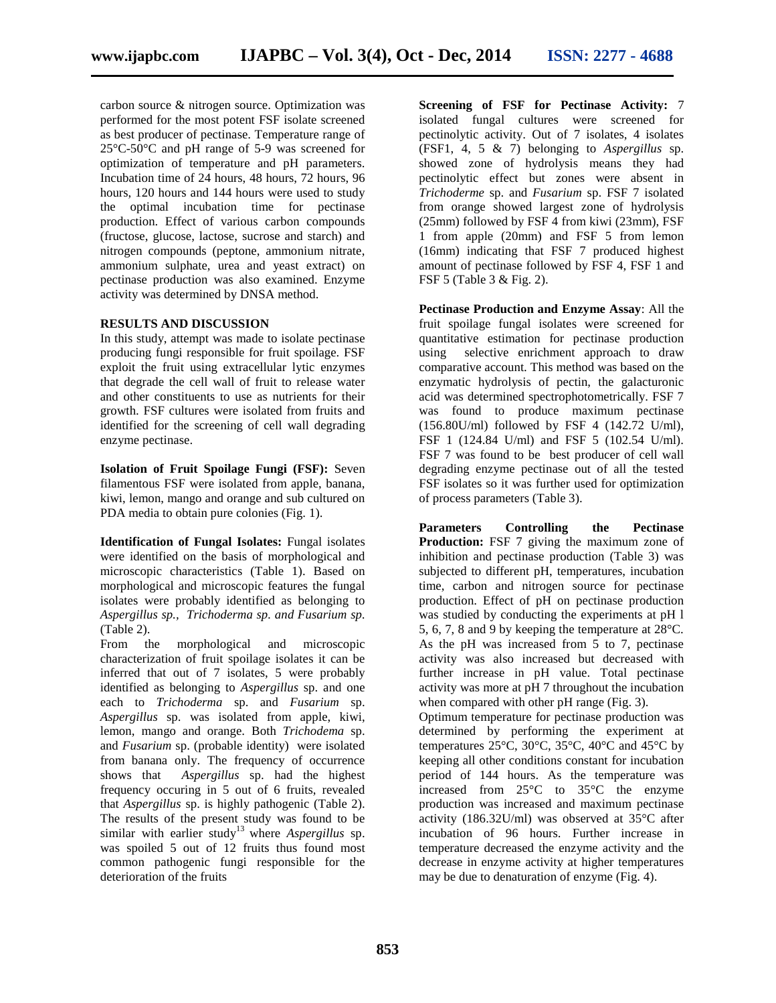carbon source & nitrogen source. Optimization was performed for the most potent FSF isolate screened as best producer of pectinase. Temperature range of 25°C-50°C and pH range of 5-9 was screened for optimization of temperature and pH parameters. Incubation time of 24 hours, 48 hours, 72 hours, 96 hours, 120 hours and 144 hours were used to study the optimal incubation time for pectinase production. Effect of various carbon compounds (fructose, glucose, lactose, sucrose and starch) and nitrogen compounds (peptone, ammonium nitrate, ammonium sulphate, urea and yeast extract) on pectinase production was also examined. Enzyme activity was determined by DNSA method.

#### **RESULTS AND DISCUSSION**

In this study, attempt was made to isolate pectinase producing fungi responsible for fruit spoilage. FSF exploit the fruit using extracellular lytic enzymes that degrade the cell wall of fruit to release water and other constituents to use as nutrients for their growth. FSF cultures were isolated from fruits and identified for the screening of cell wall degrading enzyme pectinase.

**Isolation of Fruit Spoilage Fungi (FSF):** Seven filamentous FSF were isolated from apple, banana, kiwi, lemon, mango and orange and sub cultured on PDA media to obtain pure colonies (Fig. 1).

**Identification of Fungal Isolates:** Fungal isolates were identified on the basis of morphological and microscopic characteristics (Table 1). Based on morphological and microscopic features the fungal isolates were probably identified as belonging to *Aspergillus sp., Trichoderma sp. and Fusarium sp.* (Table 2).

From the morphological and microscopic characterization of fruit spoilage isolates it can be inferred that out of 7 isolates, 5 were probably identified as belonging to *Aspergillus* sp. and one each to *Trichoderma* sp. and *Fusarium* sp. *Aspergillus* sp. was isolated from apple, kiwi, lemon, mango and orange. Both *Trichodema* sp. and *Fusarium* sp. (probable identity) were isolated from banana only. The frequency of occurrence shows that *Aspergillus* sp. had the highest frequency occuring in 5 out of 6 fruits, revealed that *Aspergillus* sp. is highly pathogenic (Table 2). The results of the present study was found to be similar with earlier study<sup>13</sup> where *Aspergillus* sp. was spoiled 5 out of 12 fruits thus found most common pathogenic fungi responsible for the deterioration of the fruits

**Screening of FSF for Pectinase Activity:** 7 isolated fungal cultures were screened for pectinolytic activity. Out of 7 isolates, 4 isolates (FSF1, 4, 5 & 7) belonging to *Aspergillus* sp. showed zone of hydrolysis means they had pectinolytic effect but zones were absent in *Trichoderme* sp. and *Fusarium* sp. FSF 7 isolated from orange showed largest zone of hydrolysis (25mm) followed by FSF 4 from kiwi (23mm), FSF 1 from apple (20mm) and FSF 5 from lemon (16mm) indicating that FSF 7 produced highest amount of pectinase followed by FSF 4, FSF 1 and FSF 5 (Table 3 & Fig. 2).

**Pectinase Production and Enzyme Assay**: All the fruit spoilage fungal isolates were screened for quantitative estimation for pectinase production using selective enrichment approach to draw comparative account. This method was based on the enzymatic hydrolysis of pectin, the galacturonic acid was determined spectrophotometrically. FSF 7 was found to produce maximum pectinase (156.80U/ml) followed by FSF 4 (142.72 U/ml), FSF 1 (124.84 U/ml) and FSF 5 (102.54 U/ml). FSF 7 was found to be best producer of cell wall degrading enzyme pectinase out of all the tested FSF isolates so it was further used for optimization of process parameters (Table 3).

**Parameters Controlling the Pectinase Production:** FSF 7 giving the maximum zone of inhibition and pectinase production (Table 3) was subjected to different pH, temperatures, incubation time, carbon and nitrogen source for pectinase production. Effect of pH on pectinase production was studied by conducting the experiments at pH l 5, 6, 7, 8 and 9 by keeping the temperature at 28°C. As the pH was increased from 5 to 7, pectinase activity was also increased but decreased with further increase in pH value. Total pectinase activity was more at pH 7 throughout the incubation when compared with other pH range (Fig. 3).

Optimum temperature for pectinase production was determined by performing the experiment at temperatures 25°C, 30°C, 35°C, 40°C and 45°C by keeping all other conditions constant for incubation period of 144 hours. As the temperature was increased from 25°C to 35°C the enzyme production was increased and maximum pectinase activity (186.32U/ml) was observed at 35°C after incubation of 96 hours. Further increase in temperature decreased the enzyme activity and the decrease in enzyme activity at higher temperatures may be due to denaturation of enzyme (Fig. 4).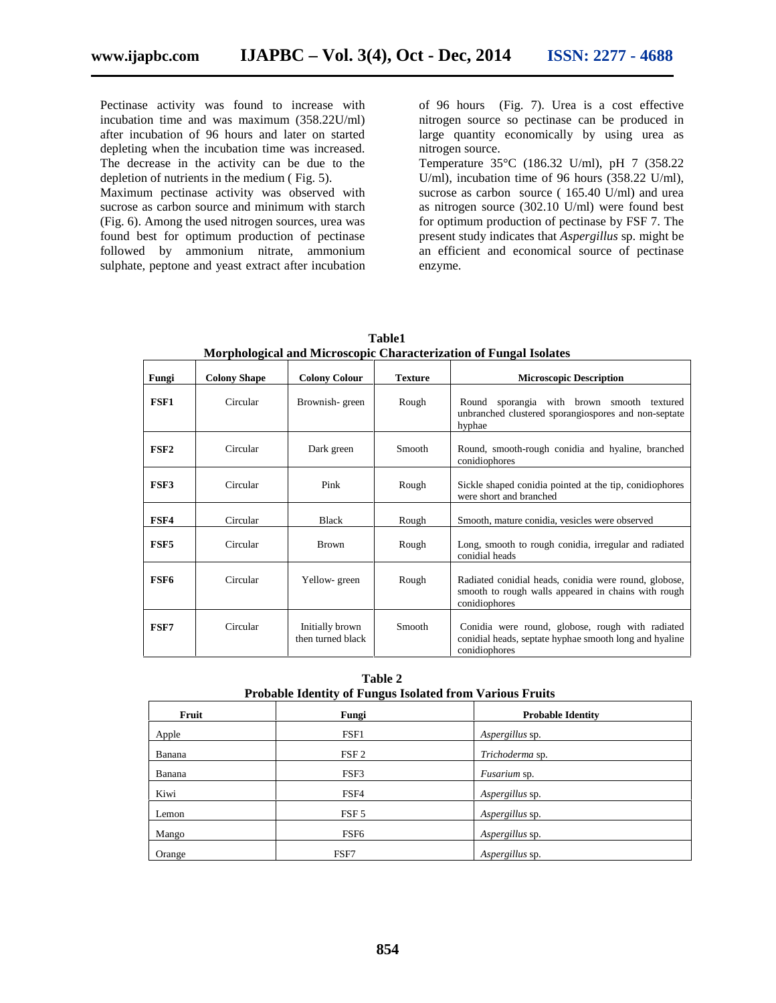Pectinase activity was found to increase with incubation time and was maximum (358.22U/ml) after incubation of 96 hours and later on started depleting when the incubation time was increased. The decrease in the activity can be due to the depletion of nutrients in the medium ( Fig. 5).

Maximum pectinase activity was observed with sucrose as carbon source and minimum with starch (Fig. 6). Among the used nitrogen sources, urea was found best for optimum production of pectinase followed by ammonium nitrate, ammonium sulphate, peptone and yeast extract after incubation of 96 hours (Fig. 7). Urea is a cost effective nitrogen source so pectinase can be produced in large quantity economically by using urea as nitrogen source.

Temperature 35°C (186.32 U/ml), pH 7 (358.22 U/ml), incubation time of 96 hours (358.22 U/ml), sucrose as carbon source (165.40 U/ml) and urea as nitrogen source (302.10 U/ml) were found best for optimum production of pectinase by FSF 7. The present study indicates that *Aspergillus* sp. might be an efficient and economical source of pectinase enzyme.

| Fungi            | <b>Colony Shape</b> | <b>Colony Colour</b>                 | <b>Texture</b> | <b>Microscopic Description</b>                                                                                                |  |
|------------------|---------------------|--------------------------------------|----------------|-------------------------------------------------------------------------------------------------------------------------------|--|
| FSF1             | Circular            | Brownish-green                       | Rough          | Round sporangia with brown smooth textured<br>unbranched clustered sporangiospores and non-septate<br>hyphae                  |  |
| FSF <sub>2</sub> | Circular            | Dark green                           | Smooth         | Round, smooth-rough conidia and hyaline, branched<br>conidiophores                                                            |  |
| FSF3             | Circular            | Pink                                 | Rough          | Sickle shaped conidia pointed at the tip, conidiophores<br>were short and branched                                            |  |
| FSF4             | Circular            | <b>Black</b>                         | Rough          | Smooth, mature conidia, vesicles were observed                                                                                |  |
| FSF <sub>5</sub> | Circular            | <b>Brown</b>                         | Rough          | Long, smooth to rough conidia, irregular and radiated<br>conidial heads                                                       |  |
| FSF <sub>6</sub> | Circular            | Yellow-green                         | Rough          | Radiated conidial heads, conidia were round, globose,<br>smooth to rough walls appeared in chains with rough<br>conidiophores |  |
| FSF7             | Circular            | Initially brown<br>then turned black | <b>Smooth</b>  | Conidia were round, globose, rough with radiated<br>conidial heads, septate hyphae smooth long and hyaline<br>conidiophores   |  |

**Table1 Morphological and Microscopic Characterization of Fungal Isolates**

**Table 2 Probable Identity of Fungus Isolated from Various Fruits**

| Fruit  | Fungi            | <b>Probable Identity</b> |
|--------|------------------|--------------------------|
| Apple  | FSF1             | Aspergillus sp.          |
| Banana | FSF <sub>2</sub> | Trichoderma sp.          |
| Banana | FSF3             | <i>Fusarium</i> sp.      |
| Kiwi   | FSF4             | Aspergillus sp.          |
| Lemon  | FSF <sub>5</sub> | Aspergillus sp.          |
| Mango  | FSF <sub>6</sub> | Aspergillus sp.          |
| Orange | FSF7             | Aspergillus sp.          |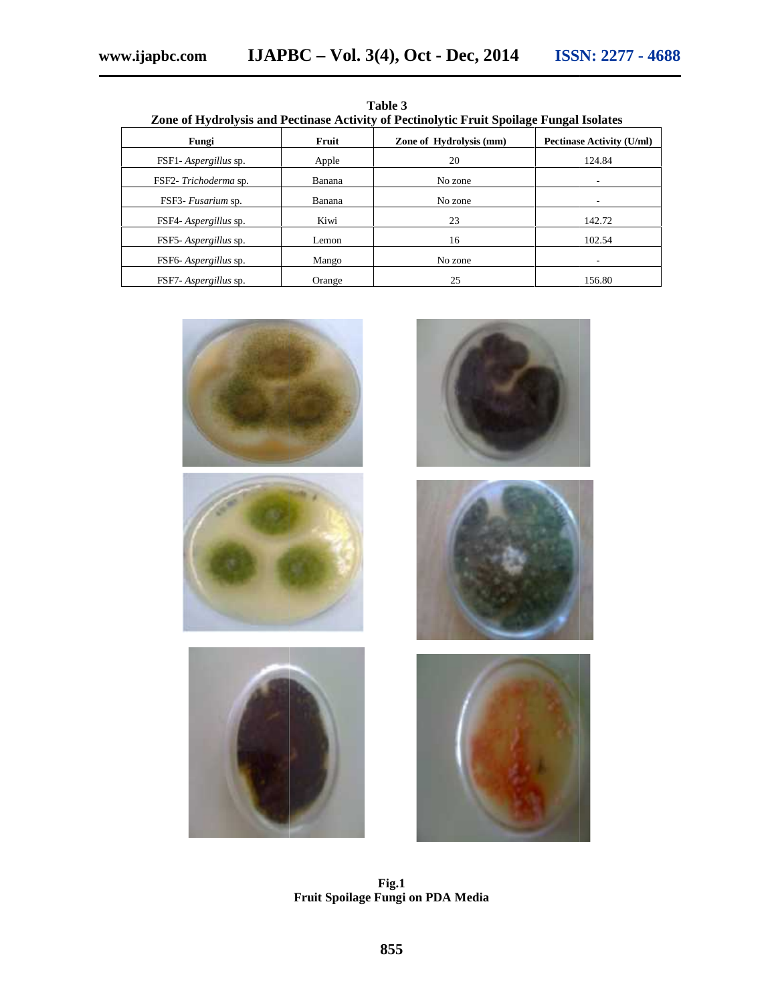| Zone of Hydrolysis and Pectinase Activity of Pectinolytic Fruit Spoilage Fungal Isolates |        |                         |                                  |  |  |  |
|------------------------------------------------------------------------------------------|--------|-------------------------|----------------------------------|--|--|--|
| Fungi                                                                                    | Fruit  | Zone of Hydrolysis (mm) | <b>Pectinase Activity (U/ml)</b> |  |  |  |
| FSF1- <i>Aspergillus</i> sp.                                                             | Apple  | 20                      | 124.84                           |  |  |  |
| FSF2-Trichoderma sp.                                                                     | Banana | No zone                 |                                  |  |  |  |
| FSF3- Fusarium sp.                                                                       | Banana | No zone                 |                                  |  |  |  |
| FSF4- <i>Aspergillus</i> sp.                                                             | Kiwi   | 23                      | 142.72                           |  |  |  |
| FSF5-Aspergillus sp.                                                                     | Lemon  | 16                      | 102.54                           |  |  |  |
| FSF6-Aspergillus sp.                                                                     | Mango  | No zone                 |                                  |  |  |  |
| FSF7- <i>Aspergillus</i> sp.                                                             | Orange | 25                      | 156.80                           |  |  |  |

**Table 3 Zone of Hydrolysis and Pectinase Activity of Pectinolytic Fruit Spoilage Fungal Isolates** Table 3<br>ty of Pectinolytic Fruit Spoilage Fungal Isolates



**Fig.1 Fruit Spoilage Fungi on PDA Media**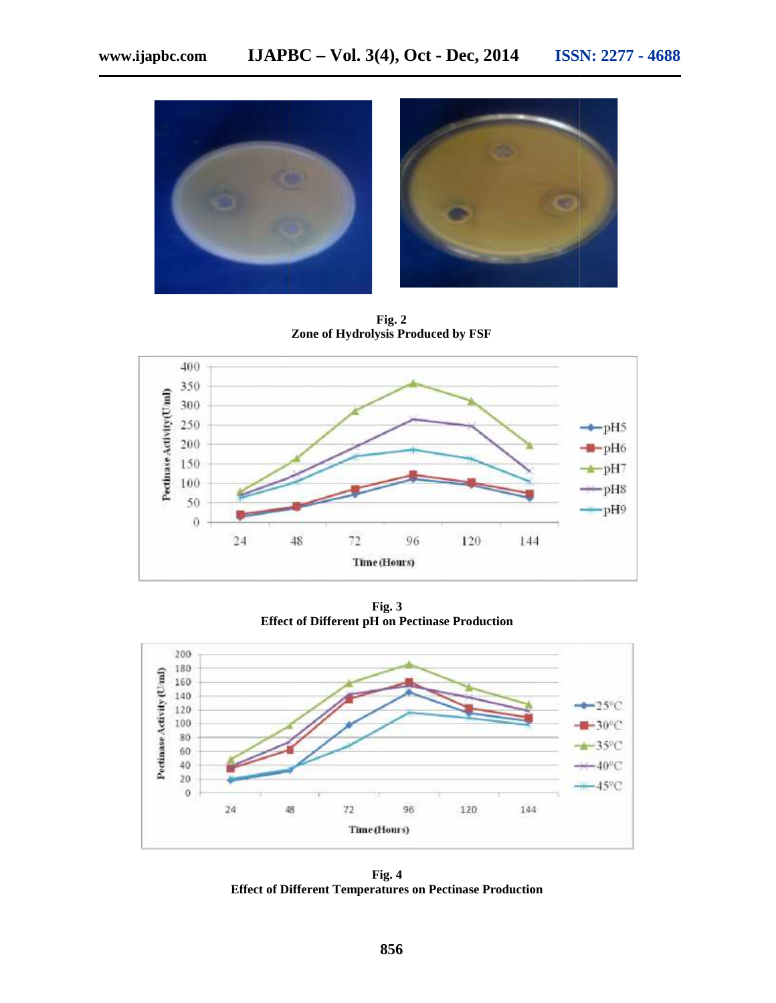

**Fig. 2 Zone of Hydrolysis Produced by FSF Hydrolysis** 



**Fig. 3 Effect of Different pH on Pectinase Production**



**Fig. 4 Effect of Different Temperatures on Pectinase Production**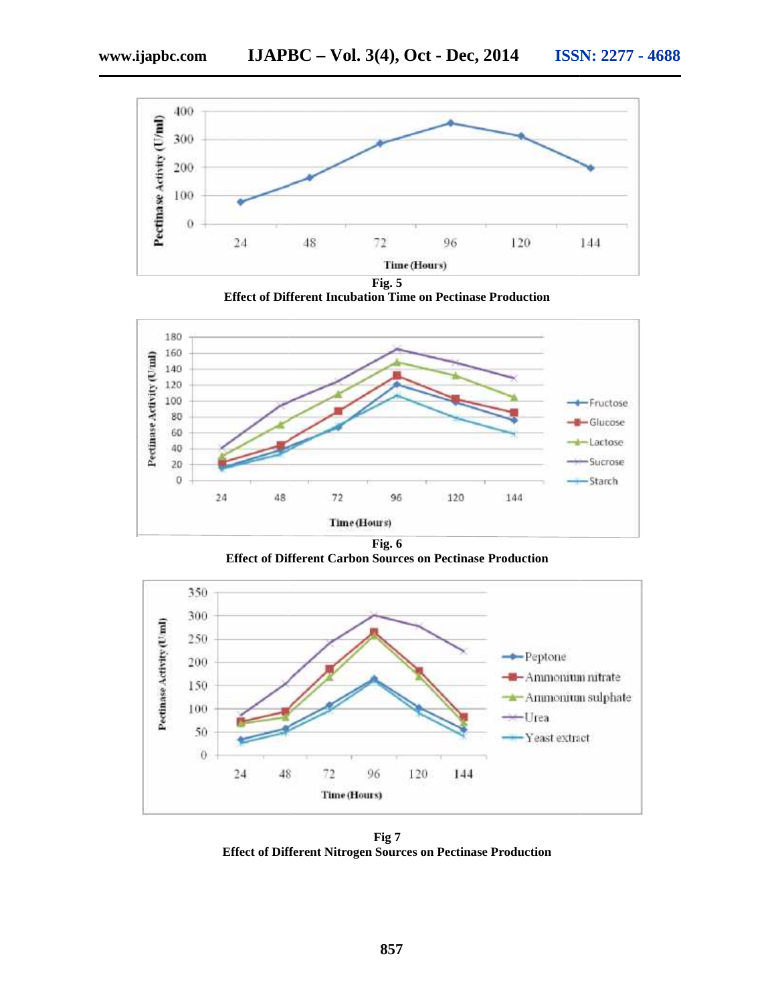

**Effect of Different Incubation Time on Pectinase Production**



**Fig. 6 Effect of Different Carbon Sources on Pectinase Production**



**Fig 7 Effect of Different Nitrogen Sources on Pectinase Production**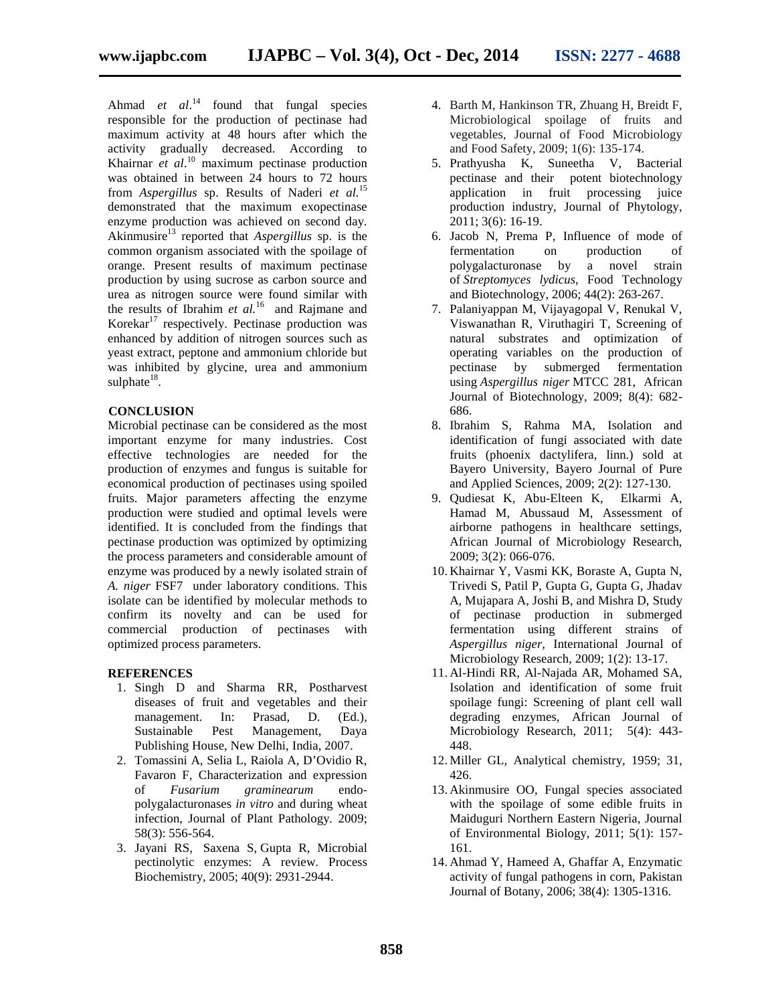Ahmad *et al.*<sup>14</sup> found that fungal species responsible for the production of pectinase had maximum activity at 48 hours after which the activity gradually decreased. According to Khairnar *et al*.<sup>10</sup> maximum pectinase production was obtained in between 24 hours to 72 hours from *Aspergillus* sp. Results of Naderi *et al.*<sup>15</sup> demonstrated that the maximum exopectinase enzyme production was achieved on second day. Akinmusire<sup>13</sup> reported that *Aspergillus* sp. is the common organism associated with the spoilage of orange. Present results of maximum pectinase production by using sucrose as carbon source and urea as nitrogen source were found similar with the results of Ibrahim *et al.*<sup>16</sup> and Rajmane and Korekar $17$  respectively. Pectinase production was enhanced by addition of nitrogen sources such as yeast extract, peptone and ammonium chloride but was inhibited by glycine, urea and ammonium sulphate $^{18}$ .

### **CONCLUSION**

Microbial pectinase can be considered as the most important enzyme for many industries. Cost effective technologies are needed for the production of enzymes and fungus is suitable for economical production of pectinases using spoiled fruits. Major parameters affecting the enzyme production were studied and optimal levels were identified. It is concluded from the findings that pectinase production was optimized by optimizing the process parameters and considerable amount of enzyme was produced by a newly isolated strain of *A. niger* FSF7 under laboratory conditions. This isolate can be identified by molecular methods to confirm its novelty and can be used for commercial production of pectinases with optimized process parameters.

#### **REFERENCES**

- 1. Singh D and Sharma RR, Postharvest diseases of fruit and vegetables and their management. In: Prasad, D. (Ed.), Sustainable Pest Management, Daya Publishing House, New Delhi, India, 2007.
- 2. Tomassini A, Selia L, Raiola A, D'Ovidio R, Favaron F, Characterization and expression of *Fusarium graminearum* endo polygalacturonases *in vitro* and during wheat infection, Journal of Plant Pathology*.* 2009; 58(3): 556-564.
- 3. Jayani RS, Saxena S, Gupta R, Microbial pectinolytic enzymes: A review. Process Biochemistry, 2005; 40(9): 2931-2944.
- 4. Barth M, Hankinson TR, Zhuang H, Breidt F, Microbiological spoilage of fruits and vegetables, Journal of Food Microbiology and Food Safety, 2009; 1(6): 135-174.
- 5. Prathyusha K, Suneetha V, Bacterial pectinase and their potent biotechnology application in fruit processing juice production industry, Journal of Phytology, 2011; 3(6): 16-19.
- 6. Jacob N, Prema P, Influence of mode of fermentation on production of polygalacturonase by a novel strain of *Streptomyces lydicus*, Food Technology and Biotechnology, 2006; 44(2): 263-267.
- 7. Palaniyappan M, Vijayagopal V, Renukal V, Viswanathan R, Viruthagiri T, Screening of natural substrates and optimization of operating variables on the production of pectinase by submerged fermentation using *Aspergillus niger* MTCC 281, African Journal of Biotechnology, 2009; 8(4): 682- 686.
- 8. Ibrahim S, Rahma MA, Isolation and identification of fungi associated with date fruits (phoenix dactylifera, linn.) sold at Bayero University*,* Bayero Journal of Pure and Applied Sciences, 2009; 2(2): 127-130.
- 9. Qudiesat K, Abu-Elteen K, Elkarmi A, Hamad M, Abussaud M, Assessment of airborne pathogens in healthcare settings, African Journal of Microbiology Research, 2009; 3(2): 066-076.
- 10. Khairnar Y, Vasmi KK, Boraste A, Gupta N, Trivedi S, Patil P, Gupta G, Gupta G, Jhadav A, Mujapara A, Joshi B, and Mishra D, Study of pectinase production in submerged fermentation using different strains of *Aspergillus niger,* International Journal of Microbiology Research, 2009; 1(2): 13-17.
- 11. Al-Hindi RR, Al-Najada AR, Mohamed SA, Isolation and identification of some fruit spoilage fungi: Screening of plant cell wall degrading enzymes, African Journal of Microbiology Research, 2011; 5(4): 443- 448.
- 12. Miller GL, Analytical chemistry, 1959; 31, 426.
- 13. Akinmusire OO, Fungal species associated with the spoilage of some edible fruits in Maiduguri Northern Eastern Nigeria*,* Journal of Environmental Biology, 2011; 5(1): 157- 161.
- 14. Ahmad Y, Hameed A, Ghaffar A, Enzymatic activity of fungal pathogens in corn, Pakistan Journal of Botany, 2006; 38(4): 1305-1316.